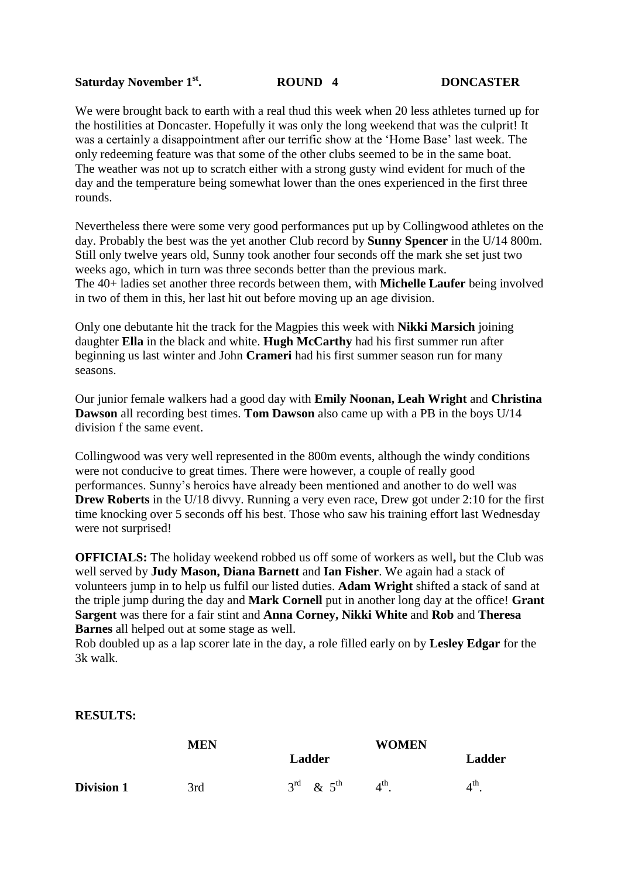## **Saturday November 1st. ROUND 4 DONCASTER**

We were brought back to earth with a real thud this week when 20 less athletes turned up for the hostilities at Doncaster. Hopefully it was only the long weekend that was the culprit! It was a certainly a disappointment after our terrific show at the 'Home Base' last week. The only redeeming feature was that some of the other clubs seemed to be in the same boat. The weather was not up to scratch either with a strong gusty wind evident for much of the day and the temperature being somewhat lower than the ones experienced in the first three rounds.

Nevertheless there were some very good performances put up by Collingwood athletes on the day. Probably the best was the yet another Club record by **Sunny Spencer** in the U/14 800m. Still only twelve years old, Sunny took another four seconds off the mark she set just two weeks ago, which in turn was three seconds better than the previous mark. The 40+ ladies set another three records between them, with **Michelle Laufer** being involved in two of them in this, her last hit out before moving up an age division.

Only one debutante hit the track for the Magpies this week with **Nikki Marsich** joining daughter **Ella** in the black and white. **Hugh McCarthy** had his first summer run after beginning us last winter and John **Crameri** had his first summer season run for many seasons.

Our junior female walkers had a good day with **Emily Noonan, Leah Wright** and **Christina Dawson** all recording best times. **Tom Dawson** also came up with a PB in the boys U/14 division f the same event.

Collingwood was very well represented in the 800m events, although the windy conditions were not conducive to great times. There were however, a couple of really good performances. Sunny's heroics have already been mentioned and another to do well was **Drew Roberts** in the U/18 divvy. Running a very even race, Drew got under 2:10 for the first time knocking over 5 seconds off his best. Those who saw his training effort last Wednesday were not surprised!

**OFFICIALS:** The holiday weekend robbed us off some of workers as well**,** but the Club was well served by **Judy Mason, Diana Barnett** and **Ian Fisher**. We again had a stack of volunteers jump in to help us fulfil our listed duties. **Adam Wright** shifted a stack of sand at the triple jump during the day and **Mark Cornell** put in another long day at the office! **Grant Sargent** was there for a fair stint and **Anna Corney, Nikki White** and **Rob** and **Theresa Barnes** all helped out at some stage as well.

Rob doubled up as a lap scorer late in the day, a role filled early on by **Lesley Edgar** for the 3k walk.

## **RESULTS:**

|                   | MEN |                                   | <b>WOMEN</b>    |        |
|-------------------|-----|-----------------------------------|-----------------|--------|
|                   |     | Ladder                            |                 | Ladder |
| <b>Division 1</b> | 3rd | $3^{\text{rd}}$ & $5^{\text{th}}$ | $4^{\text{th}}$ | 4 th   |